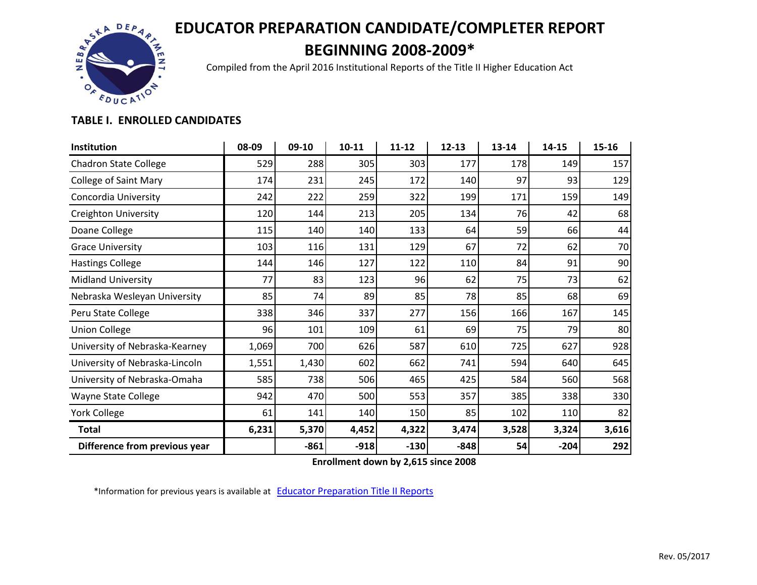## **EDUCATOR PREPARATION CANDIDATE/COMPLETER REPORT BEGINNING 2008-2009\***



Compiled from the April 2016 Institutional Reports of the Title II Higher Education Act

## **TABLE I. ENROLLED CANDIDATES**

| Institution                    | 08-09 | 09-10  | 10-11  | 11-12  | $12 - 13$ | 13-14 | 14-15  | 15-16 |
|--------------------------------|-------|--------|--------|--------|-----------|-------|--------|-------|
| <b>Chadron State College</b>   | 529   | 288    | 305    | 303    | 177       | 178   | 149    | 157   |
| <b>College of Saint Mary</b>   | 174   | 231    | 245    | 172    | 140       | 97    | 93     | 129   |
| Concordia University           | 242   | 222    | 259    | 322    | 199       | 171   | 159    | 149   |
| <b>Creighton University</b>    | 120   | 144    | 213    | 205    | 134       | 76    | 42     | 68    |
| Doane College                  | 115   | 140    | 140    | 133    | 64        | 59    | 66     | 44    |
| <b>Grace University</b>        | 103   | 116    | 131    | 129    | 67        | 72    | 62     | 70    |
| <b>Hastings College</b>        | 144   | 146    | 127    | 122    | 110       | 84    | 91     | 90    |
| <b>Midland University</b>      | 77    | 83     | 123    | 96     | 62        | 75    | 73     | 62    |
| Nebraska Wesleyan University   | 85    | 74     | 89     | 85     | 78        | 85    | 68     | 69    |
| Peru State College             | 338   | 346    | 337    | 277    | 156       | 166   | 167    | 145   |
| <b>Union College</b>           | 96    | 101    | 109    | 61     | 69        | 75    | 79     | 80    |
| University of Nebraska-Kearney | 1,069 | 700    | 626    | 587    | 610       | 725   | 627    | 928   |
| University of Nebraska-Lincoln | 1,551 | 1,430  | 602    | 662    | 741       | 594   | 640    | 645   |
| University of Nebraska-Omaha   | 585   | 738    | 506    | 465    | 425       | 584   | 560    | 568   |
| Wayne State College            | 942   | 470    | 500    | 553    | 357       | 385   | 338    | 330   |
| <b>York College</b>            | 61    | 141    | 140    | 150    | 85        | 102   | 110    | 82    |
| <b>Total</b>                   | 6,231 | 5,370  | 4,452  | 4,322  | 3,474     | 3,528 | 3,324  | 3,616 |
| Difference from previous year  |       | $-861$ | $-918$ | $-130$ | $-848$    | 54    | $-204$ | 292   |

**Enrollment down by 2,615 since 2008**

\*Information for previous years is available at **[Educator Preparation Title II Reports](https://www.education.ne.gov/EducatorPrep/TopPages/TitleIIArchive.html)**